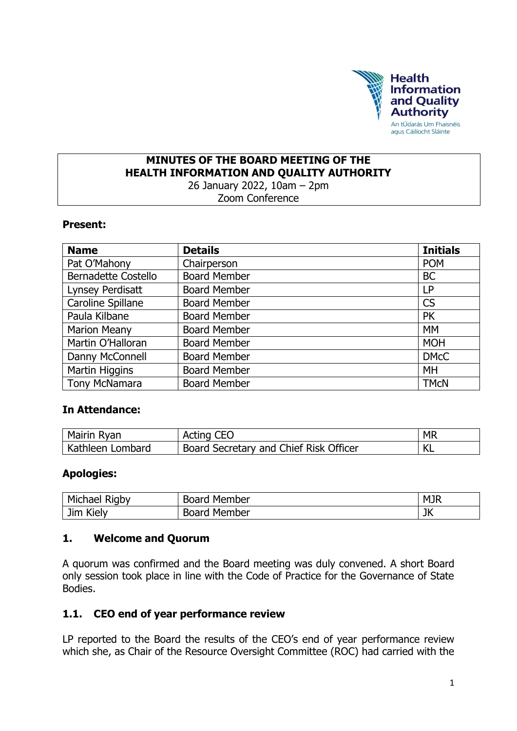

#### **MINUTES OF THE BOARD MEETING OF THE HEALTH INFORMATION AND QUALITY AUTHORITY** 26 January 2022, 10am – 2pm

Zoom Conference

#### **Present:**

| <b>Name</b>                | <b>Details</b>      | <b>Initials</b> |
|----------------------------|---------------------|-----------------|
| Pat O'Mahony               | Chairperson         | <b>POM</b>      |
| <b>Bernadette Costello</b> | <b>Board Member</b> | <b>BC</b>       |
| Lynsey Perdisatt           | <b>Board Member</b> | LP              |
| Caroline Spillane          | <b>Board Member</b> | <b>CS</b>       |
| Paula Kilbane              | <b>Board Member</b> | <b>PK</b>       |
| <b>Marion Meany</b>        | <b>Board Member</b> | <b>MM</b>       |
| Martin O'Halloran          | <b>Board Member</b> | <b>MOH</b>      |
| Danny McConnell            | <b>Board Member</b> | <b>DMcC</b>     |
| Martin Higgins             | <b>Board Member</b> | MH              |
| <b>Tony McNamara</b>       | <b>Board Member</b> | <b>TMCN</b>     |

#### **In Attendance:**

| Mairin Ryan      | Acting CEO                             | <b>MR</b> |
|------------------|----------------------------------------|-----------|
| Kathleen Lombard | Board Secretary and Chief Risk Officer | NL.       |

#### **Apologies:**

| Michael Rigby | <b>Board Member</b> | <b>MJR</b> |
|---------------|---------------------|------------|
| Jim<br>Kiely  | <b>Board Member</b> | JK         |

#### **1. Welcome and Quorum**

A quorum was confirmed and the Board meeting was duly convened. A short Board only session took place in line with the Code of Practice for the Governance of State Bodies.

#### **1.1. CEO end of year performance review**

LP reported to the Board the results of the CEO's end of year performance review which she, as Chair of the Resource Oversight Committee (ROC) had carried with the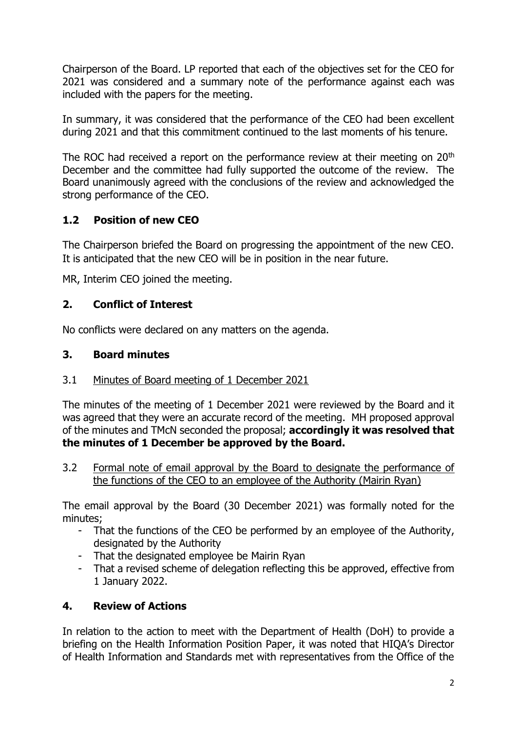Chairperson of the Board. LP reported that each of the objectives set for the CEO for 2021 was considered and a summary note of the performance against each was included with the papers for the meeting.

In summary, it was considered that the performance of the CEO had been excellent during 2021 and that this commitment continued to the last moments of his tenure.

The ROC had received a report on the performance review at their meeting on 20<sup>th</sup> December and the committee had fully supported the outcome of the review. The Board unanimously agreed with the conclusions of the review and acknowledged the strong performance of the CEO.

## **1.2 Position of new CEO**

The Chairperson briefed the Board on progressing the appointment of the new CEO. It is anticipated that the new CEO will be in position in the near future.

MR, Interim CEO joined the meeting.

## **2. Conflict of Interest**

No conflicts were declared on any matters on the agenda.

## **3. Board minutes**

## 3.1 Minutes of Board meeting of 1 December 2021

The minutes of the meeting of 1 December 2021 were reviewed by the Board and it was agreed that they were an accurate record of the meeting. MH proposed approval of the minutes and TMcN seconded the proposal; **accordingly it was resolved that the minutes of 1 December be approved by the Board.**

3.2 Formal note of email approval by the Board to designate the performance of the functions of the CEO to an employee of the Authority (Mairin Ryan)

The email approval by the Board (30 December 2021) was formally noted for the minutes;

- That the functions of the CEO be performed by an employee of the Authority, designated by the Authority
- That the designated employee be Mairin Ryan
- That a revised scheme of delegation reflecting this be approved, effective from 1 January 2022.

# **4. Review of Actions**

In relation to the action to meet with the Department of Health (DoH) to provide a briefing on the Health Information Position Paper, it was noted that HIQA's Director of Health Information and Standards met with representatives from the Office of the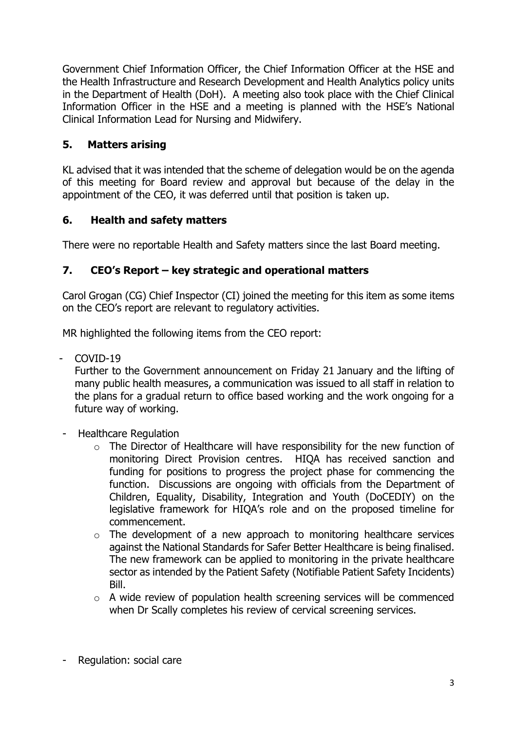Government Chief Information Officer, the Chief Information Officer at the HSE and the Health Infrastructure and Research Development and Health Analytics policy units in the Department of Health (DoH). A meeting also took place with the Chief Clinical Information Officer in the HSE and a meeting is planned with the HSE's National Clinical Information Lead for Nursing and Midwifery.

# **5. Matters arising**

KL advised that it was intended that the scheme of delegation would be on the agenda of this meeting for Board review and approval but because of the delay in the appointment of the CEO, it was deferred until that position is taken up.

## **6. Health and safety matters**

There were no reportable Health and Safety matters since the last Board meeting.

## **7. CEO's Report – key strategic and operational matters**

Carol Grogan (CG) Chief Inspector (CI) joined the meeting for this item as some items on the CEO's report are relevant to regulatory activities.

MR highlighted the following items from the CEO report:

- COVID-19

Further to the Government announcement on Friday 21 January and the lifting of many public health measures, a communication was issued to all staff in relation to the plans for a gradual return to office based working and the work ongoing for a future way of working.

- Healthcare Regulation
	- o The Director of Healthcare will have responsibility for the new function of monitoring Direct Provision centres. HIQA has received sanction and funding for positions to progress the project phase for commencing the function. Discussions are ongoing with officials from the Department of Children, Equality, Disability, Integration and Youth (DoCEDIY) on the legislative framework for HIQA's role and on the proposed timeline for commencement.
	- $\circ$  The development of a new approach to monitoring healthcare services against the National Standards for Safer Better Healthcare is being finalised. The new framework can be applied to monitoring in the private healthcare sector as intended by the Patient Safety (Notifiable Patient Safety Incidents) Bill.
	- o A wide review of population health screening services will be commenced when Dr Scally completes his review of cervical screening services.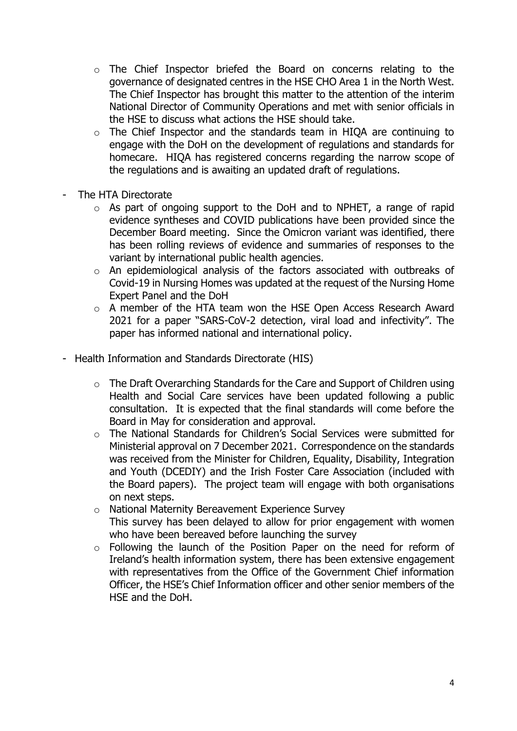- o The Chief Inspector briefed the Board on concerns relating to the governance of designated centres in the HSE CHO Area 1 in the North West. The Chief Inspector has brought this matter to the attention of the interim National Director of Community Operations and met with senior officials in the HSE to discuss what actions the HSE should take.
- o The Chief Inspector and the standards team in HIQA are continuing to engage with the DoH on the development of regulations and standards for homecare. HIQA has registered concerns regarding the narrow scope of the regulations and is awaiting an updated draft of regulations.
- The HTA Directorate
	- o As part of ongoing support to the DoH and to NPHET, a range of rapid evidence syntheses and COVID publications have been provided since the December Board meeting. Since the Omicron variant was identified, there has been rolling reviews of evidence and summaries of responses to the variant by international public health agencies.
	- o An epidemiological analysis of the factors associated with outbreaks of Covid-19 in Nursing Homes was updated at the request of the Nursing Home Expert Panel and the DoH
	- o A member of the HTA team won the HSE Open Access Research Award 2021 for a paper "SARS-CoV-2 detection, viral load and infectivity". The paper has informed national and international policy.
- Health Information and Standards Directorate (HIS)
	- o The Draft Overarching Standards for the Care and Support of Children using Health and Social Care services have been updated following a public consultation. It is expected that the final standards will come before the Board in May for consideration and approval.
	- o The National Standards for Children's Social Services were submitted for Ministerial approval on 7 December 2021. Correspondence on the standards was received from the Minister for Children, Equality, Disability, Integration and Youth (DCEDIY) and the Irish Foster Care Association (included with the Board papers). The project team will engage with both organisations on next steps.
	- o National Maternity Bereavement Experience Survey This survey has been delayed to allow for prior engagement with women who have been bereaved before launching the survey
	- o Following the launch of the Position Paper on the need for reform of Ireland's health information system, there has been extensive engagement with representatives from the Office of the Government Chief information Officer, the HSE's Chief Information officer and other senior members of the HSE and the DoH.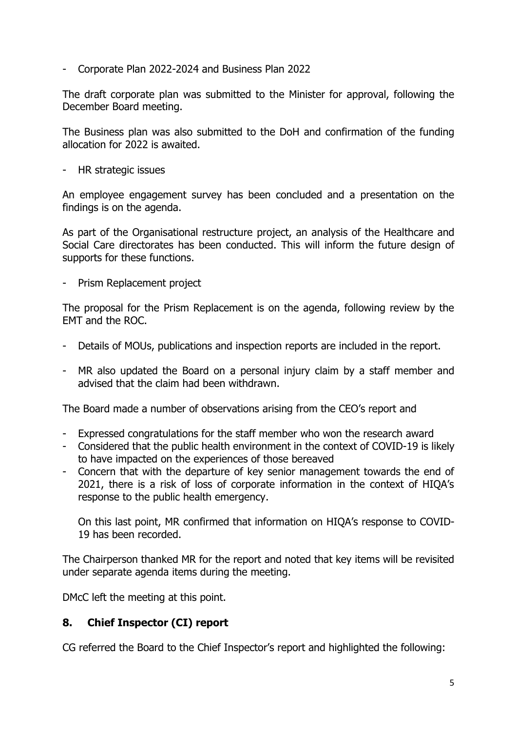- Corporate Plan 2022-2024 and Business Plan 2022

The draft corporate plan was submitted to the Minister for approval, following the December Board meeting.

The Business plan was also submitted to the DoH and confirmation of the funding allocation for 2022 is awaited.

- HR strategic issues

An employee engagement survey has been concluded and a presentation on the findings is on the agenda.

As part of the Organisational restructure project, an analysis of the Healthcare and Social Care directorates has been conducted. This will inform the future design of supports for these functions.

- Prism Replacement project

The proposal for the Prism Replacement is on the agenda, following review by the EMT and the ROC.

- Details of MOUs, publications and inspection reports are included in the report.
- MR also updated the Board on a personal injury claim by a staff member and advised that the claim had been withdrawn.

The Board made a number of observations arising from the CEO's report and

- Expressed congratulations for the staff member who won the research award
- Considered that the public health environment in the context of COVID-19 is likely to have impacted on the experiences of those bereaved
- Concern that with the departure of key senior management towards the end of 2021, there is a risk of loss of corporate information in the context of HIQA's response to the public health emergency.

On this last point, MR confirmed that information on HIQA's response to COVID-19 has been recorded.

The Chairperson thanked MR for the report and noted that key items will be revisited under separate agenda items during the meeting.

DMcC left the meeting at this point.

#### **8. Chief Inspector (CI) report**

CG referred the Board to the Chief Inspector's report and highlighted the following: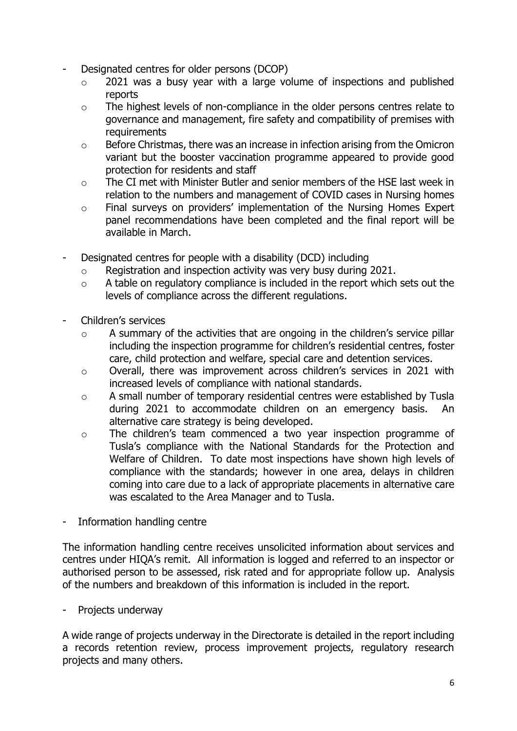- Designated centres for older persons (DCOP)
	- $\circ$  2021 was a busy year with a large volume of inspections and published reports
	- o The highest levels of non-compliance in the older persons centres relate to governance and management, fire safety and compatibility of premises with **requirements**
	- o Before Christmas, there was an increase in infection arising from the Omicron variant but the booster vaccination programme appeared to provide good protection for residents and staff
	- o The CI met with Minister Butler and senior members of the HSE last week in relation to the numbers and management of COVID cases in Nursing homes
	- o Final surveys on providers' implementation of the Nursing Homes Expert panel recommendations have been completed and the final report will be available in March.
- Designated centres for people with a disability (DCD) including
	- o Registration and inspection activity was very busy during 2021.
	- o A table on regulatory compliance is included in the report which sets out the levels of compliance across the different regulations.
- Children's services
	- o A summary of the activities that are ongoing in the children's service pillar including the inspection programme for children's residential centres, foster care, child protection and welfare, special care and detention services.
	- o Overall, there was improvement across children's services in 2021 with increased levels of compliance with national standards.
	- o A small number of temporary residential centres were established by Tusla during 2021 to accommodate children on an emergency basis. An alternative care strategy is being developed.
	- o The children's team commenced a two year inspection programme of Tusla's compliance with the National Standards for the Protection and Welfare of Children. To date most inspections have shown high levels of compliance with the standards; however in one area, delays in children coming into care due to a lack of appropriate placements in alternative care was escalated to the Area Manager and to Tusla.
- Information handling centre

The information handling centre receives unsolicited information about services and centres under HIQA's remit. All information is logged and referred to an inspector or authorised person to be assessed, risk rated and for appropriate follow up. Analysis of the numbers and breakdown of this information is included in the report.

- Projects underway

A wide range of projects underway in the Directorate is detailed in the report including a records retention review, process improvement projects, regulatory research projects and many others.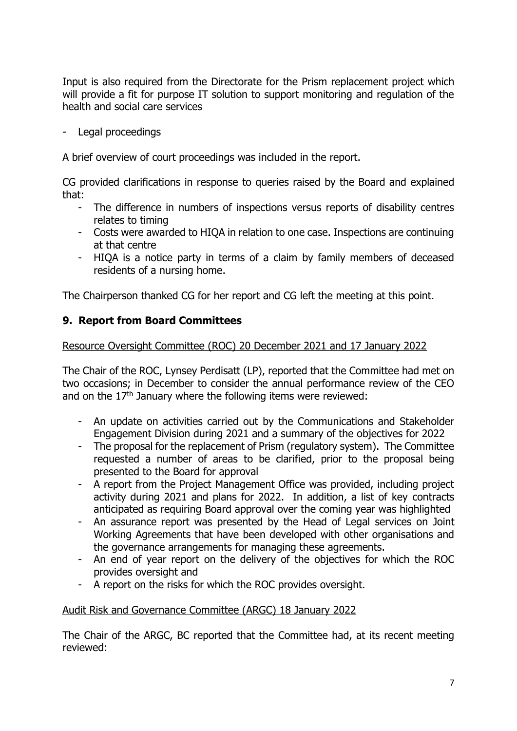Input is also required from the Directorate for the Prism replacement project which will provide a fit for purpose IT solution to support monitoring and regulation of the health and social care services

Legal proceedings

A brief overview of court proceedings was included in the report.

CG provided clarifications in response to queries raised by the Board and explained that:

- The difference in numbers of inspections versus reports of disability centres relates to timing
- Costs were awarded to HIQA in relation to one case. Inspections are continuing at that centre
- HIQA is a notice party in terms of a claim by family members of deceased residents of a nursing home.

The Chairperson thanked CG for her report and CG left the meeting at this point.

## **9. Report from Board Committees**

Resource Oversight Committee (ROC) 20 December 2021 and 17 January 2022

The Chair of the ROC, Lynsey Perdisatt (LP), reported that the Committee had met on two occasions; in December to consider the annual performance review of the CEO and on the  $17<sup>th</sup>$  January where the following items were reviewed:

- An update on activities carried out by the Communications and Stakeholder Engagement Division during 2021 and a summary of the objectives for 2022
- The proposal for the replacement of Prism (regulatory system). The Committee requested a number of areas to be clarified, prior to the proposal being presented to the Board for approval
- A report from the Project Management Office was provided, including project activity during 2021 and plans for 2022. In addition, a list of key contracts anticipated as requiring Board approval over the coming year was highlighted
- An assurance report was presented by the Head of Legal services on Joint Working Agreements that have been developed with other organisations and the governance arrangements for managing these agreements.
- An end of year report on the delivery of the objectives for which the ROC provides oversight and
- A report on the risks for which the ROC provides oversight.

#### Audit Risk and Governance Committee (ARGC) 18 January 2022

The Chair of the ARGC, BC reported that the Committee had, at its recent meeting reviewed: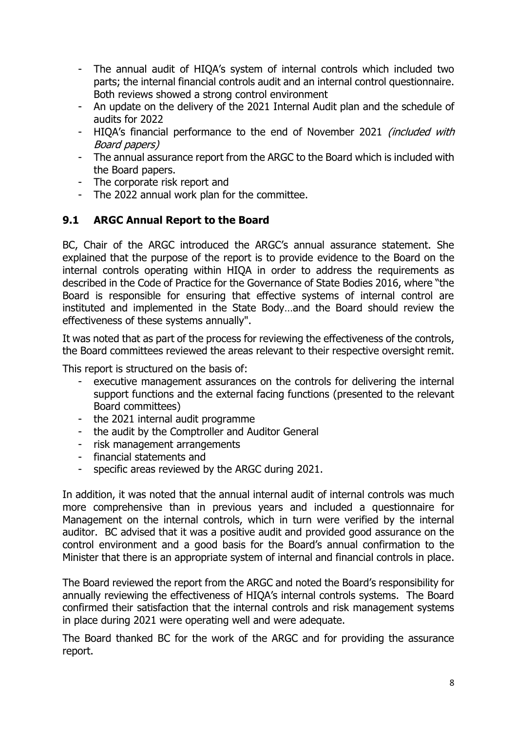- The annual audit of HIQA's system of internal controls which included two parts; the internal financial controls audit and an internal control questionnaire. Both reviews showed a strong control environment
- An update on the delivery of the 2021 Internal Audit plan and the schedule of audits for 2022
- HIQA's financial performance to the end of November 2021 (included with Board papers)
- The annual assurance report from the ARGC to the Board which is included with the Board papers.
- The corporate risk report and
- The 2022 annual work plan for the committee.

## **9.1 ARGC Annual Report to the Board**

BC, Chair of the ARGC introduced the ARGC's annual assurance statement. She explained that the purpose of the report is to provide evidence to the Board on the internal controls operating within HIQA in order to address the requirements as described in the Code of Practice for the Governance of State Bodies 2016, where "the Board is responsible for ensuring that effective systems of internal control are instituted and implemented in the State Body…and the Board should review the effectiveness of these systems annually".

It was noted that as part of the process for reviewing the effectiveness of the controls, the Board committees reviewed the areas relevant to their respective oversight remit.

This report is structured on the basis of:

- executive management assurances on the controls for delivering the internal support functions and the external facing functions (presented to the relevant Board committees)
- the 2021 internal audit programme
- the audit by the Comptroller and Auditor General
- risk management arrangements
- financial statements and
- specific areas reviewed by the ARGC during 2021.

In addition, it was noted that the annual internal audit of internal controls was much more comprehensive than in previous years and included a questionnaire for Management on the internal controls, which in turn were verified by the internal auditor. BC advised that it was a positive audit and provided good assurance on the control environment and a good basis for the Board's annual confirmation to the Minister that there is an appropriate system of internal and financial controls in place.

The Board reviewed the report from the ARGC and noted the Board's responsibility for annually reviewing the effectiveness of HIQA's internal controls systems. The Board confirmed their satisfaction that the internal controls and risk management systems in place during 2021 were operating well and were adequate.

The Board thanked BC for the work of the ARGC and for providing the assurance report.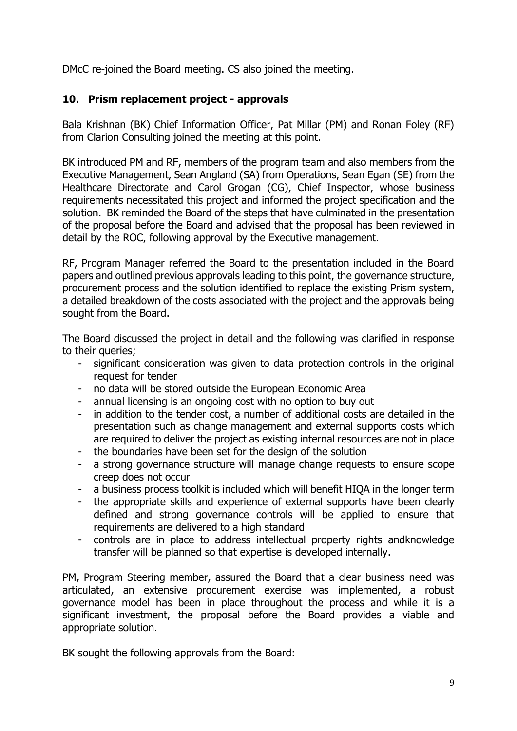DMcC re-joined the Board meeting. CS also joined the meeting.

## **10. Prism replacement project - approvals**

Bala Krishnan (BK) Chief Information Officer, Pat Millar (PM) and Ronan Foley (RF) from Clarion Consulting joined the meeting at this point.

BK introduced PM and RF, members of the program team and also members from the Executive Management, Sean Angland (SA) from Operations, Sean Egan (SE) from the Healthcare Directorate and Carol Grogan (CG), Chief Inspector, whose business requirements necessitated this project and informed the project specification and the solution. BK reminded the Board of the steps that have culminated in the presentation of the proposal before the Board and advised that the proposal has been reviewed in detail by the ROC, following approval by the Executive management.

RF, Program Manager referred the Board to the presentation included in the Board papers and outlined previous approvals leading to this point, the governance structure, procurement process and the solution identified to replace the existing Prism system, a detailed breakdown of the costs associated with the project and the approvals being sought from the Board.

The Board discussed the project in detail and the following was clarified in response to their queries;

- significant consideration was given to data protection controls in the original request for tender
- no data will be stored outside the European Economic Area
- annual licensing is an ongoing cost with no option to buy out
- in addition to the tender cost, a number of additional costs are detailed in the presentation such as change management and external supports costs which are required to deliver the project as existing internal resources are not in place
- the boundaries have been set for the design of the solution
- a strong governance structure will manage change requests to ensure scope creep does not occur
- a business process toolkit is included which will benefit HIQA in the longer term
- the appropriate skills and experience of external supports have been clearly defined and strong governance controls will be applied to ensure that requirements are delivered to a high standard
- controls are in place to address intellectual property rights andknowledge transfer will be planned so that expertise is developed internally.

PM, Program Steering member, assured the Board that a clear business need was articulated, an extensive procurement exercise was implemented, a robust governance model has been in place throughout the process and while it is a significant investment, the proposal before the Board provides a viable and appropriate solution.

BK sought the following approvals from the Board: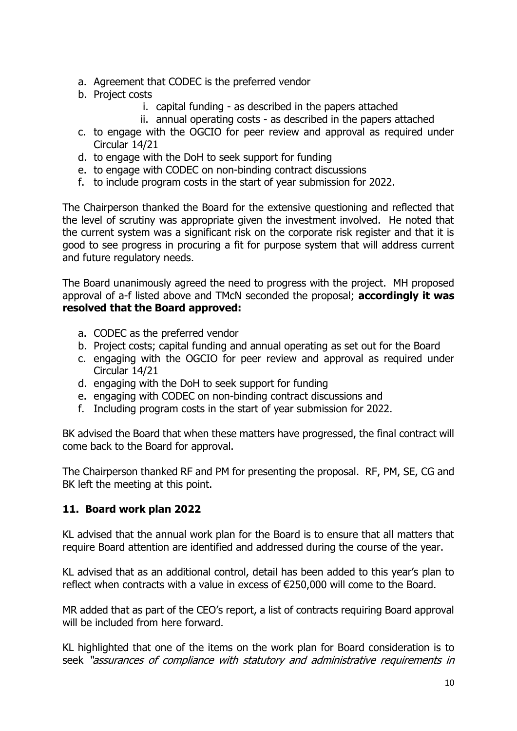- a. Agreement that CODEC is the preferred vendor
- b. Project costs
	- i. capital funding as described in the papers attached
	- ii. annual operating costs as described in the papers attached
- c. to engage with the OGCIO for peer review and approval as required under Circular 14/21
- d. to engage with the DoH to seek support for funding
- e. to engage with CODEC on non-binding contract discussions
- f. to include program costs in the start of year submission for 2022.

The Chairperson thanked the Board for the extensive questioning and reflected that the level of scrutiny was appropriate given the investment involved. He noted that the current system was a significant risk on the corporate risk register and that it is good to see progress in procuring a fit for purpose system that will address current and future regulatory needs.

The Board unanimously agreed the need to progress with the project. MH proposed approval of a-f listed above and TMcN seconded the proposal; **accordingly it was resolved that the Board approved:**

- a. CODEC as the preferred vendor
- b. Project costs; capital funding and annual operating as set out for the Board
- c. engaging with the OGCIO for peer review and approval as required under Circular 14/21
- d. engaging with the DoH to seek support for funding
- e. engaging with CODEC on non-binding contract discussions and
- f. Including program costs in the start of year submission for 2022.

BK advised the Board that when these matters have progressed, the final contract will come back to the Board for approval.

The Chairperson thanked RF and PM for presenting the proposal. RF, PM, SE, CG and BK left the meeting at this point.

## **11. Board work plan 2022**

KL advised that the annual work plan for the Board is to ensure that all matters that require Board attention are identified and addressed during the course of the year.

KL advised that as an additional control, detail has been added to this year's plan to reflect when contracts with a value in excess of €250,000 will come to the Board.

MR added that as part of the CEO's report, a list of contracts requiring Board approval will be included from here forward.

KL highlighted that one of the items on the work plan for Board consideration is to seek "assurances of compliance with statutory and administrative requirements in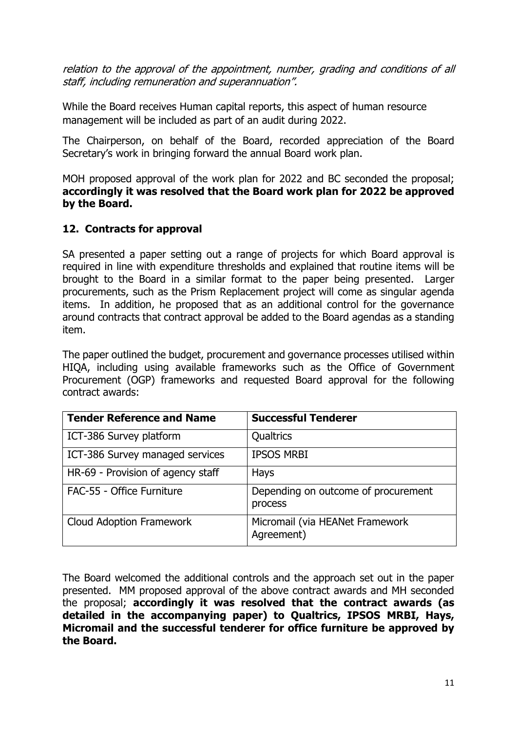relation to the approval of the appointment, number, grading and conditions of all staff, including remuneration and superannuation".

While the Board receives Human capital reports, this aspect of human resource management will be included as part of an audit during 2022.

The Chairperson, on behalf of the Board, recorded appreciation of the Board Secretary's work in bringing forward the annual Board work plan.

MOH proposed approval of the work plan for 2022 and BC seconded the proposal; **accordingly it was resolved that the Board work plan for 2022 be approved by the Board.**

#### **12. Contracts for approval**

SA presented a paper setting out a range of projects for which Board approval is required in line with expenditure thresholds and explained that routine items will be brought to the Board in a similar format to the paper being presented. Larger procurements, such as the Prism Replacement project will come as singular agenda items. In addition, he proposed that as an additional control for the governance around contracts that contract approval be added to the Board agendas as a standing item.

The paper outlined the budget, procurement and governance processes utilised within HIQA, including using available frameworks such as the Office of Government Procurement (OGP) frameworks and requested Board approval for the following contract awards:

| <b>Tender Reference and Name</b>  | <b>Successful Tenderer</b>                     |
|-----------------------------------|------------------------------------------------|
| ICT-386 Survey platform           | Qualtrics                                      |
| ICT-386 Survey managed services   | <b>IPSOS MRBI</b>                              |
| HR-69 - Provision of agency staff | <b>Hays</b>                                    |
| FAC-55 - Office Furniture         | Depending on outcome of procurement<br>process |
| <b>Cloud Adoption Framework</b>   | Micromail (via HEANet Framework<br>Agreement)  |

The Board welcomed the additional controls and the approach set out in the paper presented. MM proposed approval of the above contract awards and MH seconded the proposal; **accordingly it was resolved that the contract awards (as detailed in the accompanying paper) to Qualtrics, IPSOS MRBI, Hays, Micromail and the successful tenderer for office furniture be approved by the Board.**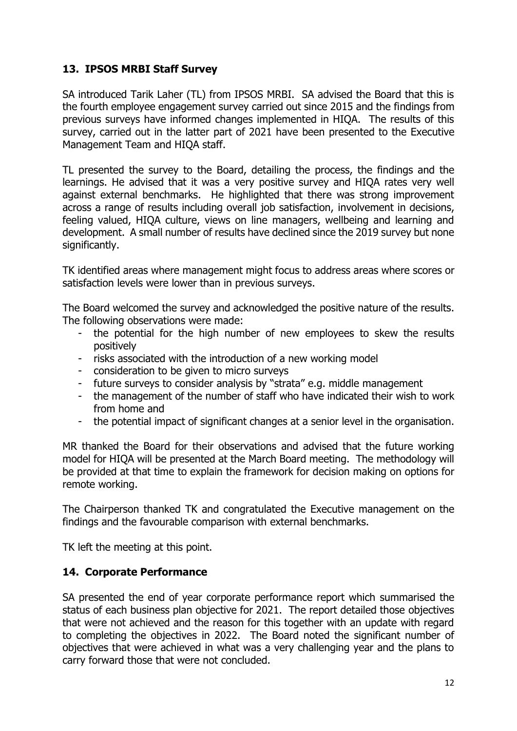#### **13. IPSOS MRBI Staff Survey**

SA introduced Tarik Laher (TL) from IPSOS MRBI. SA advised the Board that this is the fourth employee engagement survey carried out since 2015 and the findings from previous surveys have informed changes implemented in HIQA. The results of this survey, carried out in the latter part of 2021 have been presented to the Executive Management Team and HIQA staff.

TL presented the survey to the Board, detailing the process, the findings and the learnings. He advised that it was a very positive survey and HIQA rates very well against external benchmarks. He highlighted that there was strong improvement across a range of results including overall job satisfaction, involvement in decisions, feeling valued, HIQA culture, views on line managers, wellbeing and learning and development. A small number of results have declined since the 2019 survey but none significantly.

TK identified areas where management might focus to address areas where scores or satisfaction levels were lower than in previous surveys.

The Board welcomed the survey and acknowledged the positive nature of the results. The following observations were made:

- the potential for the high number of new employees to skew the results positively
- risks associated with the introduction of a new working model
- consideration to be given to micro surveys
- future surveys to consider analysis by "strata" e.g. middle management
- the management of the number of staff who have indicated their wish to work from home and
- the potential impact of significant changes at a senior level in the organisation.

MR thanked the Board for their observations and advised that the future working model for HIQA will be presented at the March Board meeting. The methodology will be provided at that time to explain the framework for decision making on options for remote working.

The Chairperson thanked TK and congratulated the Executive management on the findings and the favourable comparison with external benchmarks.

TK left the meeting at this point.

#### **14. Corporate Performance**

SA presented the end of year corporate performance report which summarised the status of each business plan objective for 2021. The report detailed those objectives that were not achieved and the reason for this together with an update with regard to completing the objectives in 2022. The Board noted the significant number of objectives that were achieved in what was a very challenging year and the plans to carry forward those that were not concluded.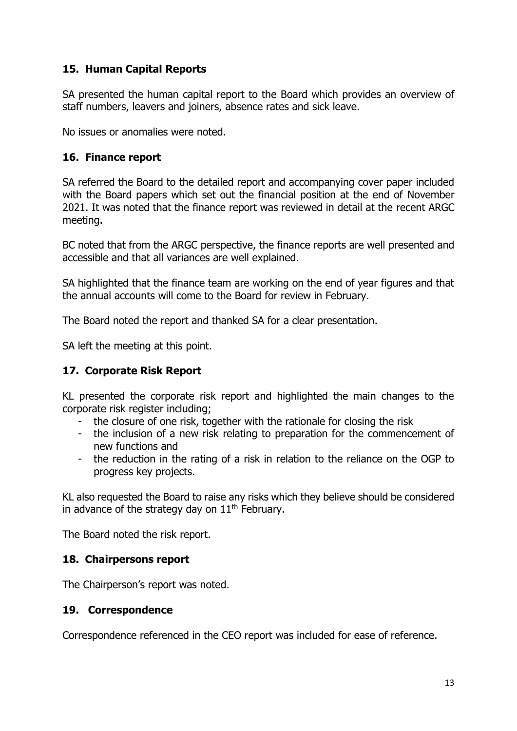## **15. Human Capital Reports**

SA presented the human capital report to the Board which provides an overview of staff numbers, leavers and joiners, absence rates and sick leave.

No issues or anomalies were noted.

#### **16. Finance report**

SA referred the Board to the detailed report and accompanying cover paper included with the Board papers which set out the financial position at the end of November 2021. It was noted that the finance report was reviewed in detail at the recent ARGC meeting.

BC noted that from the ARGC perspective, the finance reports are well presented and accessible and that all variances are well explained.

SA highlighted that the finance team are working on the end of year figures and that the annual accounts will come to the Board for review in February.

The Board noted the report and thanked SA for a clear presentation.

SA left the meeting at this point.

#### **17. Corporate Risk Report**

KL presented the corporate risk report and highlighted the main changes to the corporate risk register including;

- the closure of one risk, together with the rationale for closing the risk
- the inclusion of a new risk relating to preparation for the commencement of new functions and
- the reduction in the rating of a risk in relation to the reliance on the OGP to progress key projects.

KL also requested the Board to raise any risks which they believe should be considered in advance of the strategy day on  $11<sup>th</sup>$  February.

The Board noted the risk report.

#### **18. Chairpersons report**

The Chairperson's report was noted.

#### **19. Correspondence**

Correspondence referenced in the CEO report was included for ease of reference.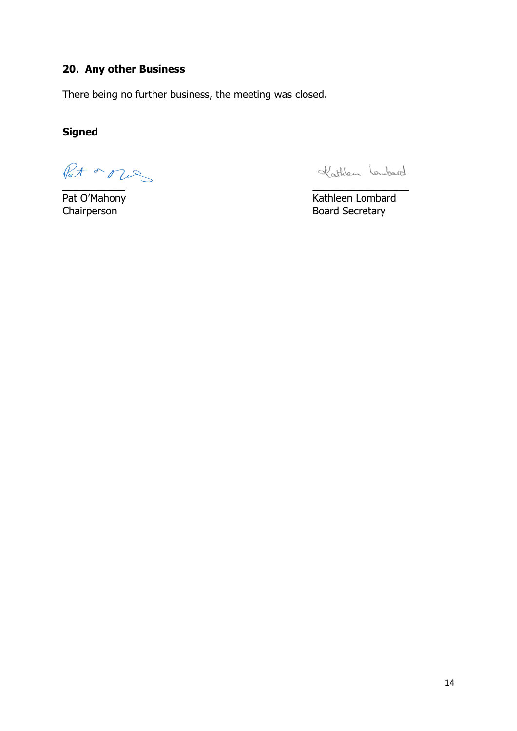# **20. Any other Business**

There being no further business, the meeting was closed.

# **Signed**

\_\_\_\_\_\_\_\_\_\_\_ \_\_\_\_\_\_\_\_\_\_\_\_\_\_\_\_\_

Kathlen Loubard

Pat O'Mahony **Kathleen Lombard** Chairperson **Board Secretary**